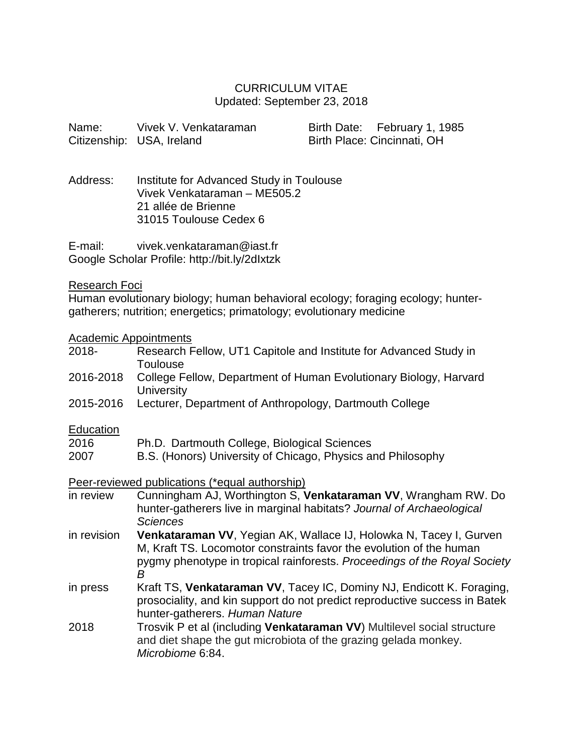# CURRICULUM VITAE Updated: September 23, 2018

| Name:                                 | Vivek V. Venkataraman<br>Citizenship: USA, Ireland                                                                        | Birth Date: February 1, 1985<br>Birth Place: Cincinnati, OH                                                                                                                                                            |
|---------------------------------------|---------------------------------------------------------------------------------------------------------------------------|------------------------------------------------------------------------------------------------------------------------------------------------------------------------------------------------------------------------|
| Address:                              | Institute for Advanced Study in Toulouse<br>Vivek Venkataraman - ME505.2<br>21 allée de Brienne<br>31015 Toulouse Cedex 6 |                                                                                                                                                                                                                        |
| E-mail:                               | vivek.venkataraman@iast.fr<br>Google Scholar Profile: http://bit.ly/2dlxtzk                                               |                                                                                                                                                                                                                        |
| <b>Research Foci</b>                  | gatherers; nutrition; energetics; primatology; evolutionary medicine                                                      | Human evolutionary biology; human behavioral ecology; foraging ecology; hunter-                                                                                                                                        |
| <b>Academic Appointments</b><br>2018- | Toulouse                                                                                                                  | Research Fellow, UT1 Capitole and Institute for Advanced Study in                                                                                                                                                      |
| 2016-2018                             | University                                                                                                                | College Fellow, Department of Human Evolutionary Biology, Harvard                                                                                                                                                      |
| 2015-2016                             | Lecturer, Department of Anthropology, Dartmouth College                                                                   |                                                                                                                                                                                                                        |
| Education<br>2016<br>2007             | Ph.D. Dartmouth College, Biological Sciences<br>B.S. (Honors) University of Chicago, Physics and Philosophy               |                                                                                                                                                                                                                        |
|                                       | Peer-reviewed publications (*equal authorship)                                                                            |                                                                                                                                                                                                                        |
| in review                             | <b>Sciences</b>                                                                                                           | Cunningham AJ, Worthington S, Venkataraman VV, Wrangham RW. Do<br>hunter-gatherers live in marginal habitats? Journal of Archaeological                                                                                |
| in revision                           | B                                                                                                                         | Venkataraman VV, Yegian AK, Wallace IJ, Holowka N, Tacey I, Gurven<br>M, Kraft TS. Locomotor constraints favor the evolution of the human<br>pygmy phenotype in tropical rainforests. Proceedings of the Royal Society |
| in press                              | hunter-gatherers. Human Nature                                                                                            | Kraft TS, Venkataraman VV, Tacey IC, Dominy NJ, Endicott K. Foraging,<br>prosociality, and kin support do not predict reproductive success in Batek                                                                    |
| 2018                                  | and diet shape the gut microbiota of the grazing gelada monkey.<br>Microbiome 6:84.                                       | Trosvik P et al (including Venkataraman VV) Multilevel social structure                                                                                                                                                |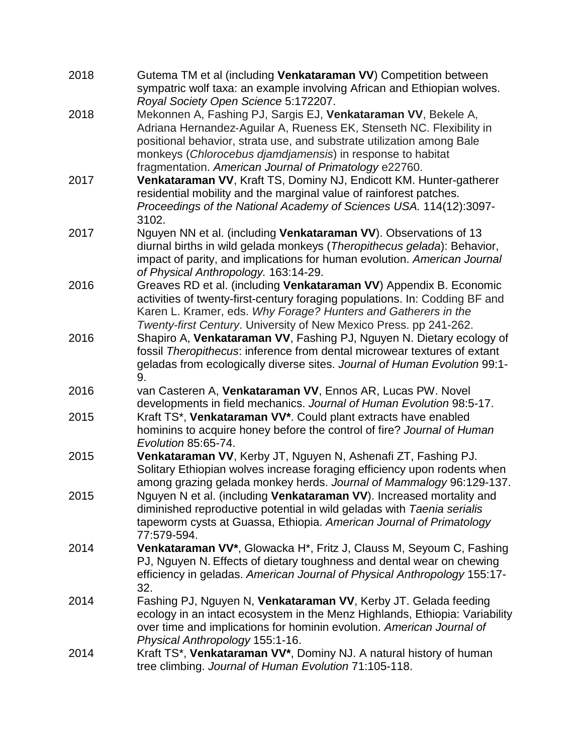| 2018 | Gutema TM et al (including Venkataraman VV) Competition between<br>sympatric wolf taxa: an example involving African and Ethiopian wolves.                                                                                                                                                                                                                                     |
|------|--------------------------------------------------------------------------------------------------------------------------------------------------------------------------------------------------------------------------------------------------------------------------------------------------------------------------------------------------------------------------------|
| 2018 | Royal Society Open Science 5:172207.<br>Mekonnen A, Fashing PJ, Sargis EJ, Venkataraman VV, Bekele A,<br>Adriana Hernandez-Aguilar A, Rueness EK, Stenseth NC. Flexibility in<br>positional behavior, strata use, and substrate utilization among Bale<br>monkeys (Chlorocebus djamdjamensis) in response to habitat<br>fragmentation. American Journal of Primatology e22760. |
| 2017 | Venkataraman VV, Kraft TS, Dominy NJ, Endicott KM. Hunter-gatherer<br>residential mobility and the marginal value of rainforest patches.<br>Proceedings of the National Academy of Sciences USA. 114(12):3097-<br>3102.                                                                                                                                                        |
| 2017 | Nguyen NN et al. (including Venkataraman VV). Observations of 13<br>diurnal births in wild gelada monkeys (Theropithecus gelada): Behavior,<br>impact of parity, and implications for human evolution. American Journal<br>of Physical Anthropology. 163:14-29.                                                                                                                |
| 2016 | Greaves RD et al. (including Venkataraman VV) Appendix B. Economic<br>activities of twenty-first-century foraging populations. In: Codding BF and<br>Karen L. Kramer, eds. Why Forage? Hunters and Gatherers in the<br>Twenty-first Century. University of New Mexico Press. pp 241-262.                                                                                       |
| 2016 | Shapiro A, Venkataraman VV, Fashing PJ, Nguyen N. Dietary ecology of<br>fossil Theropithecus: inference from dental microwear textures of extant<br>geladas from ecologically diverse sites. Journal of Human Evolution 99:1-<br>9.                                                                                                                                            |
| 2016 | van Casteren A, Venkataraman VV, Ennos AR, Lucas PW. Novel<br>developments in field mechanics. Journal of Human Evolution 98:5-17.                                                                                                                                                                                                                                             |
| 2015 | Kraft TS*, Venkataraman VV*. Could plant extracts have enabled<br>hominins to acquire honey before the control of fire? Journal of Human<br>Evolution 85:65-74.                                                                                                                                                                                                                |
| 2015 | Venkataraman VV, Kerby JT, Nguyen N, Ashenafi ZT, Fashing PJ.<br>Solitary Ethiopian wolves increase foraging efficiency upon rodents when<br>among grazing gelada monkey herds. Journal of Mammalogy 96:129-137.                                                                                                                                                               |
| 2015 | Nguyen N et al. (including Venkataraman VV). Increased mortality and<br>diminished reproductive potential in wild geladas with Taenia serialis<br>tapeworm cysts at Guassa, Ethiopia. American Journal of Primatology<br>77:579-594.                                                                                                                                           |
| 2014 | Venkataraman VV*, Glowacka H*, Fritz J, Clauss M, Seyoum C, Fashing<br>PJ, Nguyen N. Effects of dietary toughness and dental wear on chewing<br>efficiency in geladas. American Journal of Physical Anthropology 155:17-<br>32.                                                                                                                                                |
| 2014 | Fashing PJ, Nguyen N, Venkataraman VV, Kerby JT. Gelada feeding<br>ecology in an intact ecosystem in the Menz Highlands, Ethiopia: Variability<br>over time and implications for hominin evolution. American Journal of<br>Physical Anthropology 155:1-16.                                                                                                                     |
| 2014 | Kraft TS*, Venkataraman VV*, Dominy NJ. A natural history of human<br>tree climbing. Journal of Human Evolution 71:105-118.                                                                                                                                                                                                                                                    |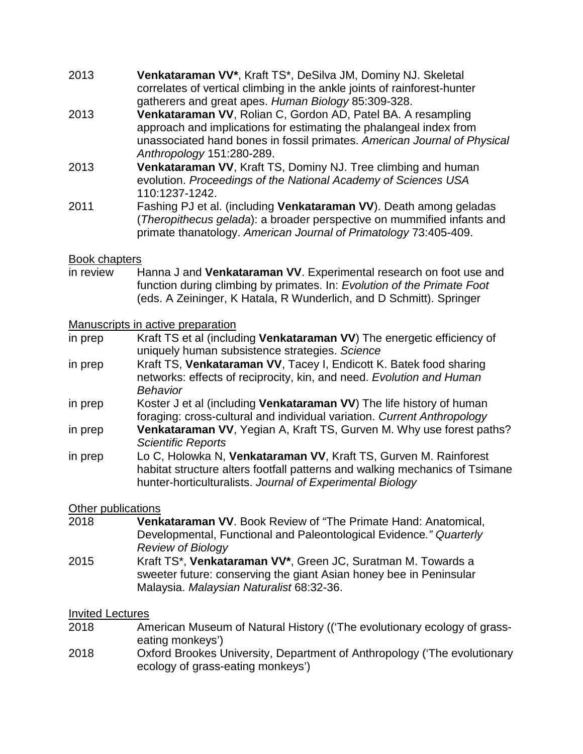- 2013 **Venkataraman VV\***, Kraft TS\*, DeSilva JM, Dominy NJ. Skeletal correlates of vertical climbing in the ankle joints of rainforest-hunter gatherers and great apes. *Human Biology* 85:309-328.
- 2013 **Venkataraman VV**, Rolian C, Gordon AD, Patel BA. A resampling approach and implications for estimating the phalangeal index from unassociated hand bones in fossil primates. *American Journal of Physical Anthropology* 151:280-289.
- 2013 **Venkataraman VV**, Kraft TS, Dominy NJ. Tree climbing and human evolution. *Proceedings of the National Academy of Sciences USA* 110:1237-1242.
- 2011 Fashing PJ et al. (including **Venkataraman VV**). Death among geladas (*Theropithecus gelada*): a broader perspective on mummified infants and primate thanatology. *American Journal of Primatology* 73:405-409.

#### Book chapters

in review Hanna J and **Venkataraman VV**. Experimental research on foot use and function during climbing by primates. In: *Evolution of the Primate Foot* (eds. A Zeininger, K Hatala, R Wunderlich, and D Schmitt). Springer

Manuscripts in active preparation

- in prep Kraft TS et al (including **Venkataraman VV**) The energetic efficiency of uniquely human subsistence strategies. *Science*
- in prep Kraft TS, **Venkataraman VV**, Tacey I, Endicott K. Batek food sharing networks: effects of reciprocity, kin, and need. *Evolution and Human Behavior*
- in prep Koster J et al (including **Venkataraman VV**) The life history of human foraging: cross-cultural and individual variation. *Current Anthropology*
- in prep **Venkataraman VV**, Yegian A, Kraft TS, Gurven M. Why use forest paths? *Scientific Reports*
- in prep Lo C, Holowka N, **Venkataraman VV**, Kraft TS, Gurven M. Rainforest habitat structure alters footfall patterns and walking mechanics of Tsimane hunter-horticulturalists. *Journal of Experimental Biology*

#### Other publications

- 2018 **Venkataraman VV**. Book Review of "The Primate Hand: Anatomical, Developmental, Functional and Paleontological Evidence*." Quarterly Review of Biology*
- 2015 Kraft TS\*, **Venkataraman VV\***, Green JC, Suratman M. Towards a sweeter future: conserving the giant Asian honey bee in Peninsular Malaysia. *Malaysian Naturalist* 68:32-36.

#### Invited Lectures

- 2018 American Museum of Natural History (('The evolutionary ecology of grasseating monkeys')
- 2018 Oxford Brookes University, Department of Anthropology ('The evolutionary ecology of grass-eating monkeys')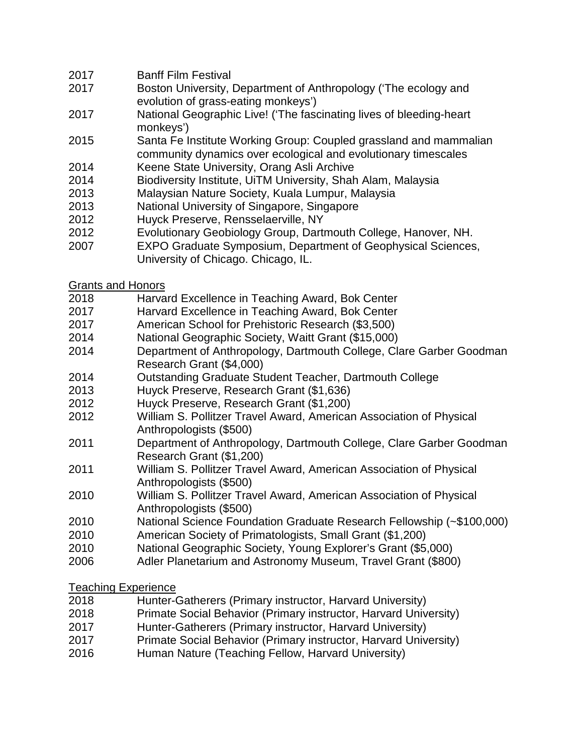- Banff Film Festival
- Boston University, Department of Anthropology ('The ecology and evolution of grass-eating monkeys')
- National Geographic Live! ('The fascinating lives of bleeding-heart monkeys')
- Santa Fe Institute Working Group: Coupled grassland and mammalian community dynamics over ecological and evolutionary timescales
- Keene State University, Orang Asli Archive
- Biodiversity Institute, UiTM University, Shah Alam, Malaysia
- Malaysian Nature Society, Kuala Lumpur, Malaysia
- National University of Singapore, Singapore
- Huyck Preserve, Rensselaerville, NY
- Evolutionary Geobiology Group, Dartmouth College, Hanover, NH.
- EXPO Graduate Symposium, Department of Geophysical Sciences,
	- University of Chicago. Chicago, IL.
- Grants and Honors
- Harvard Excellence in Teaching Award, Bok Center
- Harvard Excellence in Teaching Award, Bok Center
- American School for Prehistoric Research (\$3,500)
- National Geographic Society, Waitt Grant (\$15,000)
- Department of Anthropology, Dartmouth College, Clare Garber Goodman Research Grant (\$4,000)
- Outstanding Graduate Student Teacher, Dartmouth College
- Huyck Preserve, Research Grant (\$1,636)
- Huyck Preserve, Research Grant (\$1,200)
- William S. Pollitzer Travel Award, American Association of Physical Anthropologists (\$500)
- Department of Anthropology, Dartmouth College, Clare Garber Goodman Research Grant (\$1,200)
- William S. Pollitzer Travel Award, American Association of Physical Anthropologists (\$500)
- William S. Pollitzer Travel Award, American Association of Physical Anthropologists (\$500)
- National Science Foundation Graduate Research Fellowship (~\$100,000)
- American Society of Primatologists, Small Grant (\$1,200)
- National Geographic Society, Young Explorer's Grant (\$5,000)
- Adler Planetarium and Astronomy Museum, Travel Grant (\$800)

Teaching Experience

- Hunter-Gatherers (Primary instructor, Harvard University)
- Primate Social Behavior (Primary instructor, Harvard University)
- Hunter-Gatherers (Primary instructor, Harvard University)
- Primate Social Behavior (Primary instructor, Harvard University)
- Human Nature (Teaching Fellow, Harvard University)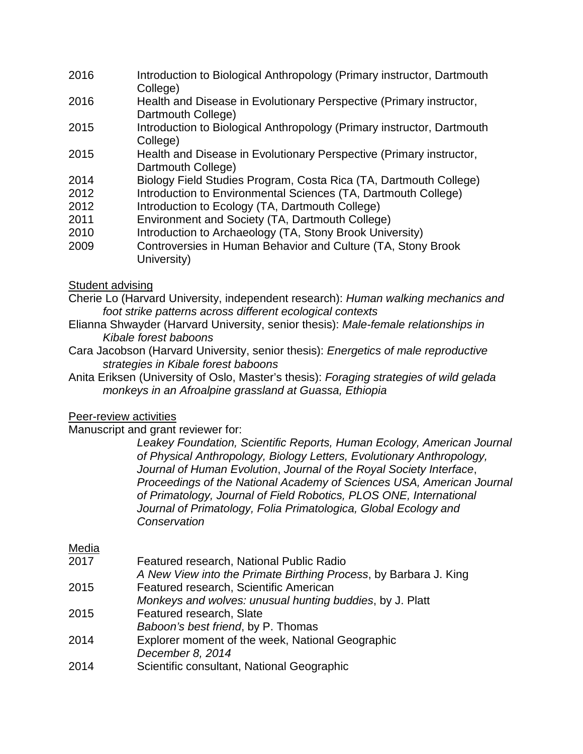- 2016 Introduction to Biological Anthropology (Primary instructor, Dartmouth College)
- 2016 Health and Disease in Evolutionary Perspective (Primary instructor, Dartmouth College)
- 2015 Introduction to Biological Anthropology (Primary instructor, Dartmouth College)
- 2015 Health and Disease in Evolutionary Perspective (Primary instructor, Dartmouth College)
- 2014 Biology Field Studies Program, Costa Rica (TA, Dartmouth College)
- 2012 Introduction to Environmental Sciences (TA, Dartmouth College)
- 2012 Introduction to Ecology (TA, Dartmouth College)
- 2011 Environment and Society (TA, Dartmouth College)
- 2010 Introduction to Archaeology (TA, Stony Brook University)
- 2009 Controversies in Human Behavior and Culture (TA, Stony Brook University)

### Student advising

- Cherie Lo (Harvard University, independent research): *Human walking mechanics and foot strike patterns across different ecological contexts*
- Elianna Shwayder (Harvard University, senior thesis): *Male-female relationships in Kibale forest baboons*
- Cara Jacobson (Harvard University, senior thesis): *Energetics of male reproductive strategies in Kibale forest baboons*
- Anita Eriksen (University of Oslo, Master's thesis): *Foraging strategies of wild gelada monkeys in an Afroalpine grassland at Guassa, Ethiopia*

# Peer-review activities

# Manuscript and grant reviewer for:

*Leakey Foundation, Scientific Reports, Human Ecology, American Journal of Physical Anthropology, Biology Letters, Evolutionary Anthropology, Journal of Human Evolution*, *Journal of the Royal Society Interface*, *Proceedings of the National Academy of Sciences USA, American Journal of Primatology, Journal of Field Robotics, PLOS ONE, International Journal of Primatology, Folia Primatologica, Global Ecology and Conservation*

### Media

| 2017          | Featured research, National Public Radio                                                                                                                                                                                           |
|---------------|------------------------------------------------------------------------------------------------------------------------------------------------------------------------------------------------------------------------------------|
|               | A New View into the Primate Birthing Process, by Barbara J. King                                                                                                                                                                   |
| 2015          | Featured research, Scientific American                                                                                                                                                                                             |
|               | Monkeys and wolves: unusual hunting buddies, by J. Platt                                                                                                                                                                           |
| 2015          | Featured research, Slate                                                                                                                                                                                                           |
|               | Baboon's best friend, by P. Thomas                                                                                                                                                                                                 |
| 2014          | Explorer moment of the week, National Geographic                                                                                                                                                                                   |
|               | December 8, 2014                                                                                                                                                                                                                   |
| ~~ <i>*</i> * | $\bullet$ . The contract of the contract of the contract of the contract of the contract of the contract of the contract of the contract of the contract of the contract of the contract of the contract of the contract of the co |

2014 Scientific consultant, National Geographic